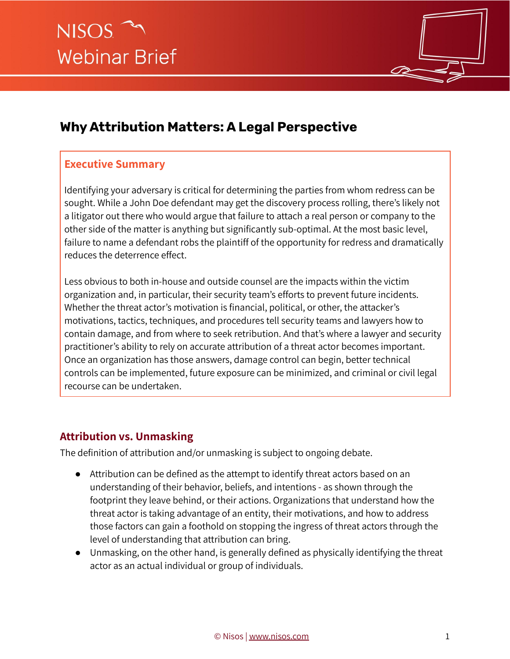

# **Why Attribution Matters: A Legal Perspective**

## **Executive Summary**

Identifying your adversary is critical for determining the parties from whom redress can be sought. While a John Doe defendant may get the discovery process rolling, there's likely not a litigator out there who would argue that failure to attach a real person or company to the other side of the matter is anything but significantly sub-optimal. At the most basic level, failure to name a defendant robs the plaintiff of the opportunity for redress and dramatically reduces the deterrence effect.

Less obvious to both in-house and outside counsel are the impacts within the victim organization and, in particular, their security team's efforts to prevent future incidents. Whether the threat actor's motivation is financial, political, or other, the attacker's motivations, tactics, techniques, and procedures tell security teams and lawyers how to contain damage, and from where to seek retribution. And that's where a lawyer and security practitioner's ability to rely on accurate attribution of a threat actor becomes important. Once an organization has those answers, damage control can begin, better technical controls can be implemented, future exposure can be minimized, and criminal or civil legal recourse can be undertaken.

## **Attribution vs. Unmasking**

The definition of attribution and/or unmasking is subject to ongoing debate.

- Attribution can be defined as the attempt to identify threat actors based on an understanding of their behavior, beliefs, and intentions - as shown through the footprint they leave behind, or their actions. Organizations that understand how the threat actor is taking advantage of an entity, their motivations, and how to address those factors can gain a foothold on stopping the ingress of threat actors through the level of understanding that attribution can bring.
- Unmasking, on the other hand, is generally defined as physically identifying the threat actor as an actual individual or group of individuals.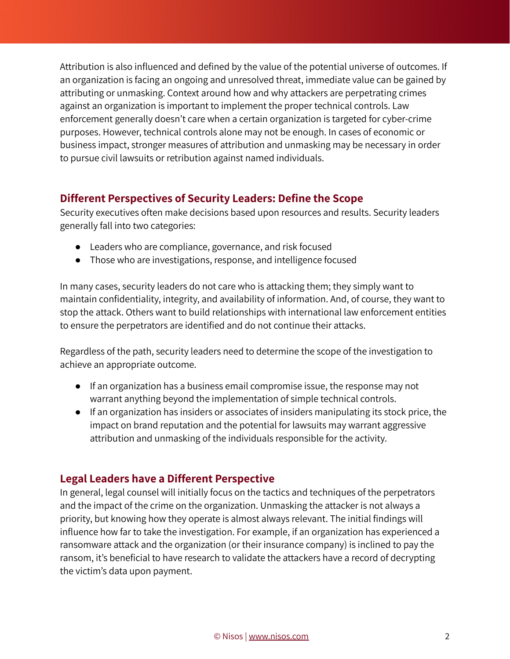Attribution is also influenced and defined by the value of the potential universe of outcomes. If an organization is facing an ongoing and unresolved threat, immediate value can be gained by attributing or unmasking. Context around how and why attackers are perpetrating crimes against an organization is important to implement the proper technical controls. Law enforcement generally doesn't care when a certain organization is targeted for cyber-crime purposes. However, technical controls alone may not be enough. In cases of economic or business impact, stronger measures of attribution and unmasking may be necessary in order to pursue civil lawsuits or retribution against named individuals.

### **Different Perspectives of Security Leaders: Define the Scope**

Security executives often make decisions based upon resources and results. Security leaders generally fall into two categories:

- Leaders who are compliance, governance, and risk focused
- Those who are investigations, response, and intelligence focused

In many cases, security leaders do not care who is attacking them; they simply want to maintain confidentiality, integrity, and availability of information. And, of course, they want to stop the attack. Others want to build relationships with international law enforcement entities to ensure the perpetrators are identified and do not continue their attacks.

Regardless of the path, security leaders need to determine the scope of the investigation to achieve an appropriate outcome.

- If an organization has a business email compromise issue, the response may not warrant anything beyond the implementation of simple technical controls.
- If an organization has insiders or associates of insiders manipulating its stock price, the impact on brand reputation and the potential for lawsuits may warrant aggressive attribution and unmasking of the individuals responsible for the activity.

### **Legal Leaders have a Different Perspective**

In general, legal counsel will initially focus on the tactics and techniques of the perpetrators and the impact of the crime on the organization. Unmasking the attacker is not always a priority, but knowing how they operate is almost always relevant. The initial findings will influence how far to take the investigation. For example, if an organization has experienced a ransomware attack and the organization (or their insurance company) is inclined to pay the ransom, it's beneficial to have research to validate the attackers have a record of decrypting the victim's data upon payment.